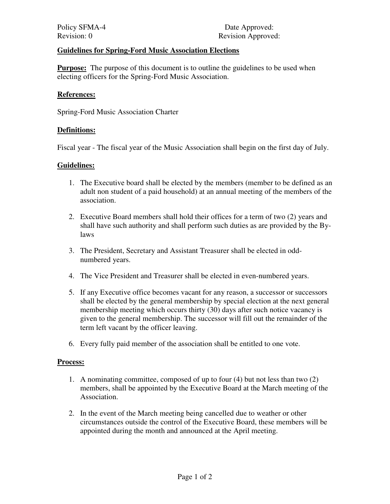# **Guidelines for Spring-Ford Music Association Elections**

**Purpose:** The purpose of this document is to outline the guidelines to be used when electing officers for the Spring-Ford Music Association.

#### **References:**

Spring-Ford Music Association Charter

## **Definitions:**

Fiscal year - The fiscal year of the Music Association shall begin on the first day of July.

## **Guidelines:**

- 1. The Executive board shall be elected by the members (member to be defined as an adult non student of a paid household) at an annual meeting of the members of the association.
- 2. Executive Board members shall hold their offices for a term of two (2) years and shall have such authority and shall perform such duties as are provided by the Bylaws
- 3. The President, Secretary and Assistant Treasurer shall be elected in oddnumbered years.
- 4. The Vice President and Treasurer shall be elected in even-numbered years.
- 5. If any Executive office becomes vacant for any reason, a successor or successors shall be elected by the general membership by special election at the next general membership meeting which occurs thirty (30) days after such notice vacancy is given to the general membership. The successor will fill out the remainder of the term left vacant by the officer leaving.
- 6. Every fully paid member of the association shall be entitled to one vote.

#### **Process:**

- 1. A nominating committee, composed of up to four (4) but not less than two (2) members, shall be appointed by the Executive Board at the March meeting of the Association.
- 2. In the event of the March meeting being cancelled due to weather or other circumstances outside the control of the Executive Board, these members will be appointed during the month and announced at the April meeting.